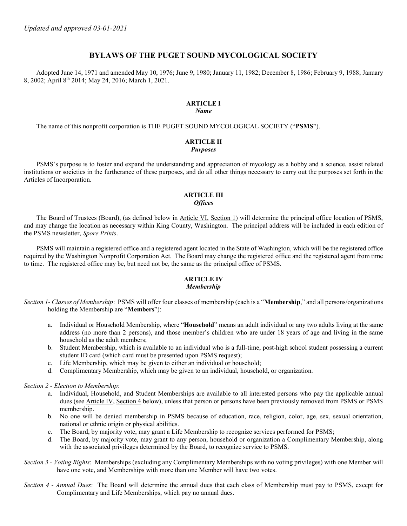## BYLAWS OF THE PUGET SOUND MYCOLOGICAL SOCIETY

Adopted June 14, 1971 and amended May 10, 1976; June 9, 1980; January 11, 1982; December 8, 1986; February 9, 1988; January 8, 2002; April 8th 2014; May 24, 2016; March 1, 2021.

## ARTICLE I

### Name

The name of this nonprofit corporation is THE PUGET SOUND MYCOLOGICAL SOCIETY ("PSMS").

#### ARTICLE II Purposes

PSMS's purpose is to foster and expand the understanding and appreciation of mycology as a hobby and a science, assist related institutions or societies in the furtherance of these purposes, and do all other things necessary to carry out the purposes set forth in the Articles of Incorporation.

#### ARTICLE III **Offices**

The Board of Trustees (Board), (as defined below in Article VI, Section 1) will determine the principal office location of PSMS, and may change the location as necessary within King County, Washington. The principal address will be included in each edition of the PSMS newsletter, Spore Prints.

PSMS will maintain a registered office and a registered agent located in the State of Washington, which will be the registered office required by the Washington Nonprofit Corporation Act. The Board may change the registered office and the registered agent from time to time. The registered office may be, but need not be, the same as the principal office of PSMS.

# ARTICLE IV

#### Membership

Section 1- Classes of Membership: PSMS will offer four classes of membership (each is a "**Membership**," and all persons/organizations holding the Membership are "Members"):

- a. Individual or Household Membership, where "Household" means an adult individual or any two adults living at the same address (no more than 2 persons), and those member's children who are under 18 years of age and living in the same household as the adult members;
- b. Student Membership, which is available to an individual who is a full-time, post-high school student possessing a current student ID card (which card must be presented upon PSMS request);
- c. Life Membership, which may be given to either an individual or household;
- d. Complimentary Membership, which may be given to an individual, household, or organization.

Section 2 - Election to Membership:

- a. Individual, Household, and Student Memberships are available to all interested persons who pay the applicable annual dues (see Article IV, Section 4 below), unless that person or persons have been previously removed from PSMS or PSMS membership.
- b. No one will be denied membership in PSMS because of education, race, religion, color, age, sex, sexual orientation, national or ethnic origin or physical abilities.
- c. The Board, by majority vote, may grant a Life Membership to recognize services performed for PSMS;
- d. The Board, by majority vote, may grant to any person, household or organization a Complimentary Membership, along with the associated privileges determined by the Board, to recognize service to PSMS.
- Section 3 Voting Rights: Memberships (excluding any Complimentary Memberships with no voting privileges) with one Member will have one vote, and Memberships with more than one Member will have two votes.
- Section 4 Annual Dues: The Board will determine the annual dues that each class of Membership must pay to PSMS, except for Complimentary and Life Memberships, which pay no annual dues.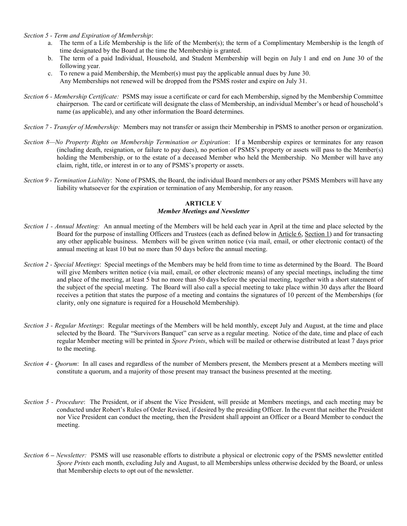Section 5 - Term and Expiration of Membership:

- a. The term of a Life Membership is the life of the Member(s); the term of a Complimentary Membership is the length of time designated by the Board at the time the Membership is granted.
- b. The term of a paid Individual, Household, and Student Membership will begin on July 1 and end on June 30 of the following year.
- c. To renew a paid Membership, the Member(s) must pay the applicable annual dues by June 30. Any Memberships not renewed will be dropped from the PSMS roster and expire on July 31.
- Section 6 Membership Certificate: PSMS may issue a certificate or card for each Membership, signed by the Membership Committee chairperson. The card or certificate will designate the class of Membership, an individual Member's or head of household's name (as applicable), and any other information the Board determines.
- Section 7 Transfer of Membership: Members may not transfer or assign their Membership in PSMS to another person or organization.
- Section 8—No Property Rights on Membership Termination or Expiration: If a Membership expires or terminates for any reason (including death, resignation, or failure to pay dues), no portion of PSMS's property or assets will pass to the Member(s) holding the Membership, or to the estate of a deceased Member who held the Membership. No Member will have any claim, right, title, or interest in or to any of PSMS's property or assets.
- Section 9 Termination Liability: None of PSMS, the Board, the individual Board members or any other PSMS Members will have any liability whatsoever for the expiration or termination of any Membership, for any reason.

## ARTICLE V Member Meetings and Newsletter

- Section 1 Annual Meeting: An annual meeting of the Members will be held each year in April at the time and place selected by the Board for the purpose of installing Officers and Trustees (each as defined below in Article 6, Section 1) and for transacting any other applicable business. Members will be given written notice (via mail, email, or other electronic contact) of the annual meeting at least 10 but no more than 50 days before the annual meeting.
- Section 2 Special Meetings: Special meetings of the Members may be held from time to time as determined by the Board. The Board will give Members written notice (via mail, email, or other electronic means) of any special meetings, including the time and place of the meeting, at least 5 but no more than 50 days before the special meeting, together with a short statement of the subject of the special meeting. The Board will also call a special meeting to take place within 30 days after the Board receives a petition that states the purpose of a meeting and contains the signatures of 10 percent of the Memberships (for clarity, only one signature is required for a Household Membership).
- Section 3 Regular Meetings: Regular meetings of the Members will be held monthly, except July and August, at the time and place selected by the Board. The "Survivors Banquet" can serve as a regular meeting. Notice of the date, time and place of each regular Member meeting will be printed in Spore Prints, which will be mailed or otherwise distributed at least 7 days prior to the meeting.
- Section 4 Quorum: In all cases and regardless of the number of Members present, the Members present at a Members meeting will constitute a quorum, and a majority of those present may transact the business presented at the meeting.
- Section 5 Procedure: The President, or if absent the Vice President, will preside at Members meetings, and each meeting may be conducted under Robert's Rules of Order Revised, if desired by the presiding Officer. In the event that neither the President nor Vice President can conduct the meeting, then the President shall appoint an Officer or a Board Member to conduct the meeting.
- Section 6 Newsletter: PSMS will use reasonable efforts to distribute a physical or electronic copy of the PSMS newsletter entitled Spore Prints each month, excluding July and August, to all Memberships unless otherwise decided by the Board, or unless that Membership elects to opt out of the newsletter.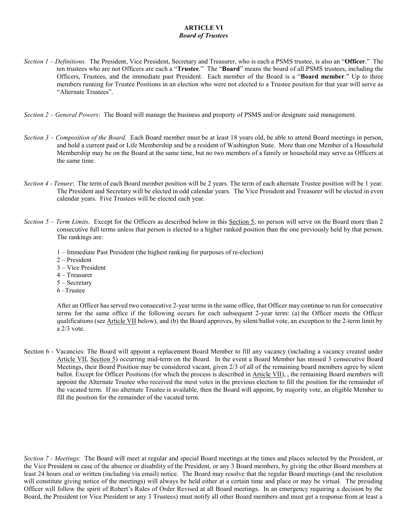#### ARTICLE VI Board of Trustees

- Section  $1$  Definitions. The President, Vice President, Secretary and Treasurer, who is each a PSMS trustee, is also an "Officer." The ten trustees who are not Officers are each a "Trustee." The "Board" means the board of all PSMS trustees, including the Officers, Trustees, and the immediate past President. Each member of the Board is a "Board member." Up to three members running for Trustee Positions in an election who were not elected to a Trustee position for that year will serve as "Alternate Trustees".
- Section 2 General Powers: The Board will manage the business and property of PSMS and/or designate said management.
- Section 3 Composition of the Board. Each Board member must be at least 18 years old, be able to attend Board meetings in person, and hold a current paid or Life Membership and be a resident of Washington State. More than one Member of a Household Membership may be on the Board at the same time, but no two members of a family or household may serve as Officers at the same time.
- Section 4 Tenure: The term of each Board member position will be 2 years. The term of each alternate Trustee position will be 1 year. The President and Secretary will be elected in odd calendar years. The Vice President and Treasurer will be elected in even calendar years. Five Trustees will be elected each year.
- Section  $5$  Term Limits. Except for the Officers as described below in this Section 5, no person will serve on the Board more than 2 consecutive full terms unless that person is elected to a higher ranked position than the one previously held by that person. The rankings are:
	- 1 Immediate Past President (the highest ranking for purposes of re-election)
	- 2 President
	- 3 Vice President
	- 4 Treasurer
	- 5 Secretary
	- 6 –Trustee

After an Officer has served two consecutive 2-year terms in the same office, that Officer may continue to run for consecutive terms for the same office if the following occurs for each subsequent 2-year term: (a) the Officer meets the Officer qualifications (see Article VII below), and (b) the Board approves, by silent/ballot vote, an exception to the 2-term limit by a 2/3 vote.

Section 6 - Vacancies: The Board will appoint a replacement Board Member to fill any vacancy (including a vacancy created under Article VII, Section 5) occurring mid-term on the Board. In the event a Board Member has missed 3 consecutive Board Meetings, their Board Position may be considered vacant, given 2/3 of all of the remaining board members agree by silent ballot. Except for Officer Positions (for which the process is described in Article VII), , the remaining Board members will appoint the Alternate Trustee who received the most votes in the previous election to fill the position for the remainder of the vacated term. If no alternate Trustee is available, then the Board will appoint, by majority vote, an eligible Member to fill the position for the remainder of the vacated term.

Section 7 - Meetings: The Board will meet at regular and special Board meetings at the times and places selected by the President, or the Vice President in case of the absence or disability of the President, or any 3 Board members, by giving the other Board members at least 24 hours oral or written (including via email) notice. The Board may resolve that the regular Board meetings (and the resolution will constitute giving notice of the meetings) will always be held either at a certain time and place or may be virtual. The presiding Officer will follow the spirit of Robert's Rules of Order Revised at all Board meetings. In an emergency requiring a decision by the Board, the President (or Vice President or any 3 Trustees) must notify all other Board members and must get a response from at least a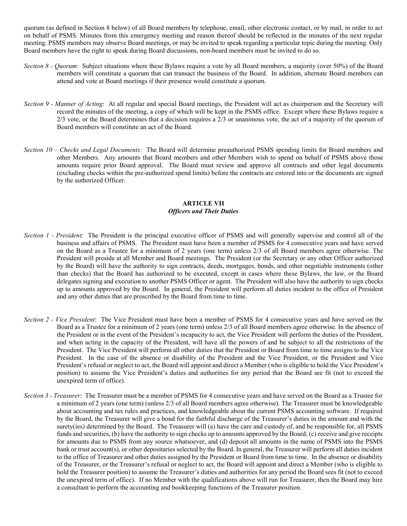quorum (as defined in Section 8 below) of all Board members by telephone, email, other electronic contact, or by mail, in order to act on behalf of PSMS. Minutes from this emergency meeting and reason thereof should be reflected in the minutes of the next regular meeting. PSMS members may observe Board meetings, or may be invited to speak regarding a particular topic during the meeting. Only Board members have the right to speak during Board discussions, non-board members must be invited to do so.

- Section 8 Quorum: Subject situations where these Bylaws require a vote by all Board members, a majority (over 50%) of the Board members will constitute a quorum that can transact the business of the Board. In addition, alternate Board members can attend and vote at Board meetings if their presence would constitute a quorum.
- Section 9 Manner of Acting: At all regular and special Board meetings, the President will act as chairperson and the Secretary will record the minutes of the meeting, a copy of which will be kept in the PSMS office. Except where these Bylaws require a 2/3 vote, or the Board determines that a decision requires a 2/3 or unanimous vote, the act of a majority of the quorum of Board members will constitute an act of the Board.
- Section  $10$  Checks and Legal Documents: The Board will determine preauthorized PSMS spending limits for Board members and other Members. Any amounts that Board members and other Members wish to spend on behalf of PSMS above those amounts require prior Board approval. The Board must review and approve all contracts and other legal documents (excluding checks within the pre-authorized spend limits) before the contracts are entered into or the documents are signed by the authorized Officer.

### ARTICLE VII Officers and Their Duties

- Section 1 President: The President is the principal executive officer of PSMS and will generally supervise and control all of the business and affairs of PSMS. The President must have been a member of PSMS for 4 consecutive years and have served on the Board as a Trustee for a minimum of 2 years (one term) unless 2/3 of all Board members agree otherwise. The President will preside at all Member and Board meetings. The President (or the Secretary or any other Officer authorized by the Board) will have the authority to sign contracts, deeds, mortgages, bonds, and other negotiable instruments (other than checks) that the Board has authorized to be executed, except in cases where these Bylaws, the law, or the Board delegates signing and execution to another PSMS Officer or agent. The President will also have the authority to sign checks up to amounts approved by the Board. In general, the President will perform all duties incident to the office of President and any other duties that are prescribed by the Board from time to time.
- Section 2 Vice President: The Vice President must have been a member of PSMS for 4 consecutive years and have served on the Board as a Trustee for a minimum of 2 years (one term) unless 2/3 of all Board members agree otherwise. In the absence of the President or in the event of the President's incapacity to act, the Vice President will perform the duties of the President, and when acting in the capacity of the President, will have all the powers of and be subject to all the restrictions of the President. The Vice President will perform all other duties that the President or Board from time to time assigns to the Vice President. In the case of the absence or disability of the President and the Vice President, or the President and Vice President's refusal or neglect to act, the Board will appoint and direct a Member (who is eligible to hold the Vice President's position) to assume the Vice President's duties and authorities for any period that the Board see fit (not to exceed the unexpired term of office).
- Section 3 Treasurer: The Treasurer must be a member of PSMS for 4 consecutive years and have served on the Board as a Trustee for a minimum of 2 years (one term) (unless 2/3 of all Board members agree otherwise). The Treasurer must be knowledgeable about accounting and tax rules and practices, and knowledgeable about the current PSMS accounting software. If required by the Board, the Treasurer will give a bond for the faithful discharge of the Treasurer's duties in the amount and with the surety(ies) determined by the Board. The Treasurer will (a) have the care and custody of, and be responsible for, all PSMS funds and securities, (b) have the authority to sign checks up to amounts approved by the Board; (c) receive and give receipts for amounts due to PSMS from any source whatsoever, and (d) deposit all amounts in the name of PSMS into the PSMS bank or trust account(s), or other depositaries selected by the Board. In general, the Treasurer will perform all duties incident to the office of Treasurer and other duties assigned by the President or Board from time to time. In the absence or disability of the Treasurer, or the Treasurer's refusal or neglect to act, the Board will appoint and direct a Member (who is eligible to hold the Treasurer position) to assume the Treasurer's duties and authorities for any period the Board sees fit (not to exceed the unexpired term of office). If no Member with the qualifications above will run for Treasurer, then the Board may hire a consultant to perform the accounting and bookkeeping functions of the Treasurer position.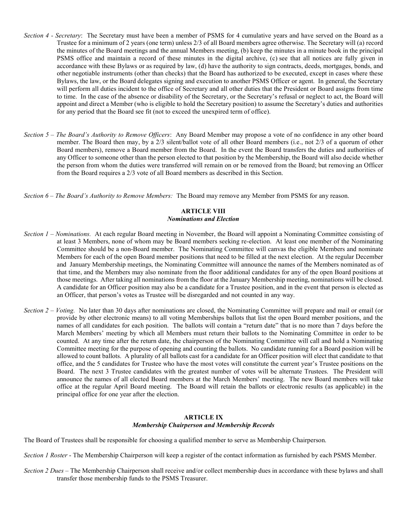- Section 4 Secretary: The Secretary must have been a member of PSMS for 4 cumulative years and have served on the Board as a Trustee for a minimum of 2 years (one term) unless 2/3 of all Board members agree otherwise. The Secretary will (a) record the minutes of the Board meetings and the annual Members meeting, (b) keep the minutes in a minute book in the principal PSMS office and maintain a record of these minutes in the digital archive, (c) see that all notices are fully given in accordance with these Bylaws or as required by law, (d) have the authority to sign contracts, deeds, mortgages, bonds, and other negotiable instruments (other than checks) that the Board has authorized to be executed, except in cases where these Bylaws, the law, or the Board delegates signing and execution to another PSMS Officer or agent. In general, the Secretary will perform all duties incident to the office of Secretary and all other duties that the President or Board assigns from time to time. In the case of the absence or disability of the Secretary, or the Secretary's refusal or neglect to act, the Board will appoint and direct a Member (who is eligible to hold the Secretary position) to assume the Secretary's duties and authorities for any period that the Board see fit (not to exceed the unexpired term of office).
- Section 5 The Board's Authority to Remove Officers: Any Board Member may propose a vote of no confidence in any other board member. The Board then may, by a 2/3 silent/ballot vote of all other Board members (i.e., not 2/3 of a quorum of other Board members), remove a Board member from the Board. In the event the Board transfers the duties and authorities of any Officer to someone other than the person elected to that position by the Membership, the Board will also decide whether the person from whom the duties were transferred will remain on or be removed from the Board; but removing an Officer from the Board requires a 2/3 vote of all Board members as described in this Section.

Section 6 – The Board's Authority to Remove Members: The Board may remove any Member from PSMS for any reason.

# ARTICLE VIII

## Nominations and Election

- Section 1 Nominations. At each regular Board meeting in November, the Board will appoint a Nominating Committee consisting of at least 3 Members, none of whom may be Board members seeking re-election. At least one member of the Nominating Committee should be a non-Board member. The Nominating Committee will canvas the eligible Members and nominate Members for each of the open Board member positions that need to be filled at the next election. At the regular December and January Membership meetings, the Nominating Committee will announce the names of the Members nominated as of that time, and the Members may also nominate from the floor additional candidates for any of the open Board positions at those meetings. After taking all nominations from the floor at the January Membership meeting, nominations will be closed. A candidate for an Officer position may also be a candidate for a Trustee position, and in the event that person is elected as an Officer, that person's votes as Trustee will be disregarded and not counted in any way.
- Section  $2 Voting$ . No later than 30 days after nominations are closed, the Nominating Committee will prepare and mail or email (or provide by other electronic means) to all voting Memberships ballots that list the open Board member positions, and the names of all candidates for each position. The ballots will contain a "return date" that is no more than 7 days before the March Members' meeting by which all Members must return their ballots to the Nominating Committee in order to be counted. At any time after the return date, the chairperson of the Nominating Committee will call and hold a Nominating Committee meeting for the purpose of opening and counting the ballots. No candidate running for a Board position will be allowed to count ballots. A plurality of all ballots cast for a candidate for an Officer position will elect that candidate to that office, and the 5 candidates for Trustee who have the most votes will constitute the current year's Trustee positions on the Board. The next 3 Trustee candidates with the greatest number of votes will be alternate Trustees. The President will announce the names of all elected Board members at the March Members' meeting. The new Board members will take office at the regular April Board meeting. The Board will retain the ballots or electronic results (as applicable) in the principal office for one year after the election.

### ARTICLE IX Membership Chairperson and Membership Records

The Board of Trustees shall be responsible for choosing a qualified member to serve as Membership Chairperson.

- Section 1 Roster The Membership Chairperson will keep a register of the contact information as furnished by each PSMS Member.
- Section 2 Dues The Membership Chairperson shall receive and/or collect membership dues in accordance with these bylaws and shall transfer those membership funds to the PSMS Treasurer.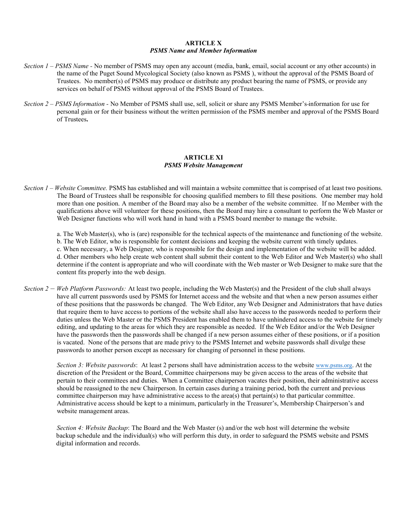### ARTICLE X PSMS Name and Member Information

- Section  $1 PSMS$  Name No member of PSMS may open any account (media, bank, email, social account or any other accounts) in the name of the Puget Sound Mycological Society (also known as PSMS ), without the approval of the PSMS Board of Trustees. No member(s) of PSMS may produce or distribute any product bearing the name of PSMS, or provide any services on behalf of PSMS without approval of the PSMS Board of Trustees.
- Section 2 PSMS Information No Member of PSMS shall use, sell, solicit or share any PSMS Member's-information for use for personal gain or for their business without the written permission of the PSMS member and approval of the PSMS Board of Trustees.

### ARTICLE XI PSMS Website Management

- Section  $1 Website Committee$ . PSMS has established and will maintain a website committee that is comprised of at least two positions. The Board of Trustees shall be responsible for choosing qualified members to fill these positions. One member may hold more than one position. A member of the Board may also be a member of the website committee. If no Member with the qualifications above will volunteer for these positions, then the Board may hire a consultant to perform the Web Master or Web Designer functions who will work hand in hand with a PSMS board member to manage the website.
	- a. The Web Master(s), who is (are) responsible for the technical aspects of the maintenance and functioning of the website.
	- b. The Web Editor, who is responsible for content decisions and keeping the website current with timely updates.

c. When necessary, a Web Designer, who is responsible for the design and implementation of the website will be added. d. Other members who help create web content shall submit their content to the Web Editor and Web Master(s) who shall determine if the content is appropriate and who will coordinate with the Web master or Web Designer to make sure that the content fits properly into the web design.

Section 2 – Web Platform Passwords: At least two people, including the Web Master(s) and the President of the club shall always have all current passwords used by PSMS for Internet access and the website and that when a new person assumes either of these positions that the passwords be changed. The Web Editor, any Web Designer and Administrators that have duties that require them to have access to portions of the website shall also have access to the passwords needed to perform their duties unless the Web Master or the PSMS President has enabled them to have unhindered access to the website for timely editing, and updating to the areas for which they are responsible as needed. If the Web Editor and/or the Web Designer have the passwords then the passwords shall be changed if a new person assumes either of these positions, or if a position is vacated. None of the persons that are made privy to the PSMS Internet and website passwords shall divulge these passwords to another person except as necessary for changing of personnel in these positions.

Section 3: Website passwords: At least 2 persons shall have administration access to the website www.psms.org. At the discretion of the President or the Board, Committee chairpersons may be given access to the areas of the website that pertain to their committees and duties. When a Committee chairperson vacates their position, their administrative access should be reassigned to the new Chairperson. In certain cases during a training period, both the current and previous committee chairperson may have administrative access to the area(s) that pertain(s) to that particular committee. Administrative access should be kept to a minimum, particularly in the Treasurer's, Membership Chairperson's and website management areas.

Section 4: Website Backup: The Board and the Web Master (s) and/or the web host will determine the website backup schedule and the individual(s) who will perform this duty, in order to safeguard the PSMS website and PSMS digital information and records.